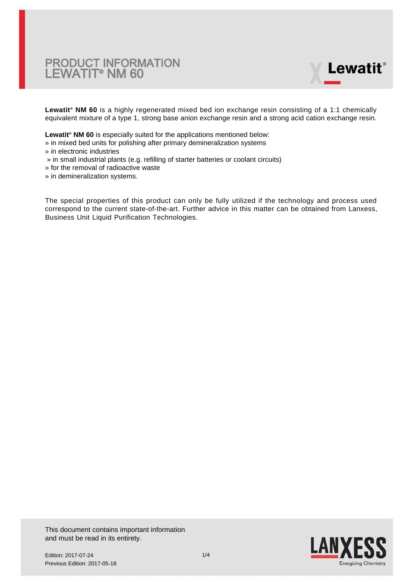

**Lewatit® NM 60** is a highly regenerated mixed bed ion exchange resin consisting of a 1:1 chemically equivalent mixture of a type 1, strong base anion exchange resin and a strong acid cation exchange resin.

**Lewatit® NM 60** is especially suited for the applications mentioned below:

- » in mixed bed units for polishing after primary demineralization systems
- » in electronic industries
- » in small industrial plants (e.g. refilling of starter batteries or coolant circuits)
- » for the removal of radioactive waste
- » in demineralization systems.

The special properties of this product can only be fully utilized if the technology and process used correspond to the current state-of-the-art. Further advice in this matter can be obtained from Lanxess, Business Unit Liquid Purification Technologies.

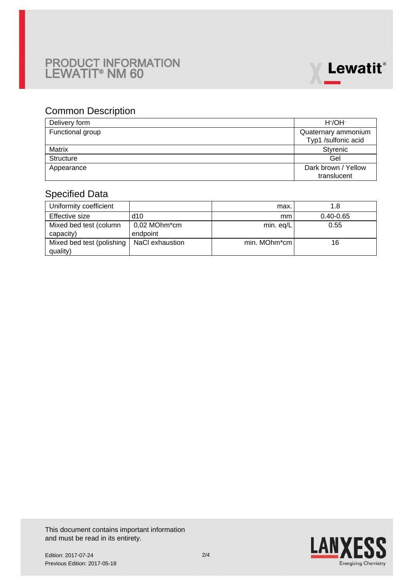

### Common Description

| Delivery form    | $H^{\dagger}/OH^{-}$ |
|------------------|----------------------|
| Functional group | Quaternary ammonium  |
|                  | Typ1 /sulfonic acid  |
| Matrix           | Styrenic             |
| <b>Structure</b> | Gel                  |
| Appearance       | Dark brown / Yellow  |
|                  | translucent          |

## Specified Data

| Uniformity coefficient                |                          | max.         | 1.8           |
|---------------------------------------|--------------------------|--------------|---------------|
| Effective size                        | d10                      | mm           | $0.40 - 0.65$ |
| Mixed bed test (column<br>capacity)   | 0,02 MOhm*cm<br>endpoint | min. eq/L    | 0.55          |
| Mixed bed test (polishing<br>quality) | NaCl exhaustion          | min. MOhm*cm | 16            |

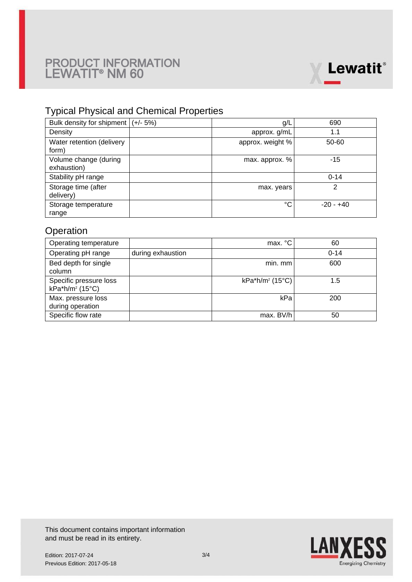

## Typical Physical and Chemical Properties

| Bulk density for shipment $ (+/- 5%)$ | g/L              | 690         |
|---------------------------------------|------------------|-------------|
| Density                               | approx. g/mL     | 1.1         |
| Water retention (delivery<br>form)    | approx. weight % | 50-60       |
| Volume change (during<br>exhaustion)  | max. approx. %   | $-15$       |
| Stability pH range                    |                  | $0 - 14$    |
| Storage time (after<br>delivery)      | max. years       | 2           |
| Storage temperature<br>range          | °C               | $-20 - +40$ |

### **Operation**

| Operating temperature                                 |                   | max. °C                     | 60       |
|-------------------------------------------------------|-------------------|-----------------------------|----------|
| Operating pH range                                    | during exhaustion |                             | $0 - 14$ |
| Bed depth for single<br>column                        |                   | min. mm                     | 600      |
| Specific pressure loss<br>kPa*h/m <sup>2</sup> (15°C) |                   | kPa*h/m <sup>2</sup> (15°C) | 1.5      |
| Max. pressure loss<br>during operation                |                   | kPa                         | 200      |
| Specific flow rate                                    |                   | max. BV/h                   | 50       |